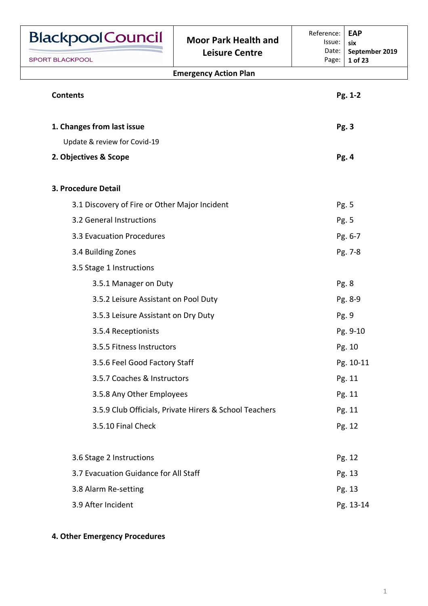| <b>BlackpoolCouncil</b>                                | <b>Moor Park Health and</b>  | Reference:<br>Issue: | <b>EAP</b><br>six         |
|--------------------------------------------------------|------------------------------|----------------------|---------------------------|
| <b>SPORT BLACKPOOL</b>                                 | <b>Leisure Centre</b>        | Date:<br>Page:       | September 2019<br>1 of 23 |
|                                                        | <b>Emergency Action Plan</b> |                      |                           |
| <b>Contents</b>                                        |                              |                      | Pg. 1-2                   |
| 1. Changes from last issue                             |                              |                      | Pg. 3                     |
| Update & review for Covid-19                           |                              |                      |                           |
| 2. Objectives & Scope                                  |                              |                      | Pg. 4                     |
| 3. Procedure Detail                                    |                              |                      |                           |
| 3.1 Discovery of Fire or Other Major Incident          |                              |                      | Pg. 5                     |
| 3.2 General Instructions                               |                              |                      | Pg. 5                     |
| 3.3 Evacuation Procedures                              |                              |                      | Pg. 6-7                   |
| 3.4 Building Zones                                     |                              |                      | Pg. 7-8                   |
| 3.5 Stage 1 Instructions                               |                              |                      |                           |
| 3.5.1 Manager on Duty                                  |                              |                      | Pg. 8                     |
| 3.5.2 Leisure Assistant on Pool Duty                   |                              |                      | Pg. 8-9                   |
| 3.5.3 Leisure Assistant on Dry Duty                    |                              |                      | Pg. 9                     |
| 3.5.4 Receptionists                                    |                              |                      | Pg. 9-10                  |
| 3.5.5 Fitness Instructors                              |                              |                      | Pg. 10                    |
| 3.5.6 Feel Good Factory Staff                          |                              |                      | Pg. 10-11                 |
| 3.5.7 Coaches & Instructors                            |                              |                      | Pg. 11                    |
| 3.5.8 Any Other Employees                              |                              |                      | Pg. 11                    |
| 3.5.9 Club Officials, Private Hirers & School Teachers |                              |                      | Pg. 11                    |
| 3.5.10 Final Check                                     |                              |                      | Pg. 12                    |
| 3.6 Stage 2 Instructions                               |                              |                      | Pg. 12                    |
| 3.7 Evacuation Guidance for All Staff                  |                              |                      | Pg. 13                    |
| 3.8 Alarm Re-setting                                   |                              |                      | Pg. 13                    |
| 3.9 After Incident                                     |                              |                      | Pg. 13-14                 |

# **4. Other Emergency Procedures**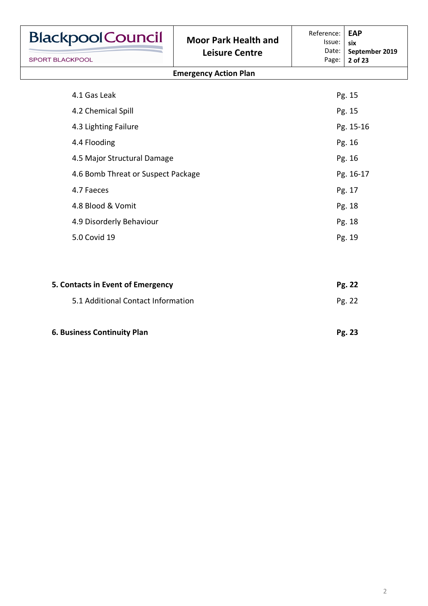| <b>BlackpoolCouncil</b>            | <b>Moor Park Health and</b>  | Reference:<br>Issue: | <b>EAP</b><br>six         |
|------------------------------------|------------------------------|----------------------|---------------------------|
| <b>SPORT BLACKPOOL</b>             | <b>Leisure Centre</b>        | Date:<br>Page:       | September 2019<br>2 of 23 |
|                                    | <b>Emergency Action Plan</b> |                      |                           |
| 4.1 Gas Leak                       |                              |                      | Pg. 15                    |
| 4.2 Chemical Spill                 |                              |                      | Pg. 15                    |
| 4.3 Lighting Failure               |                              |                      | Pg. 15-16                 |
| 4.4 Flooding                       |                              |                      | Pg. 16                    |
| 4.5 Major Structural Damage        |                              |                      | Pg. 16                    |
| 4.6 Bomb Threat or Suspect Package |                              |                      | Pg. 16-17                 |
| 4.7 Faeces                         |                              |                      | Pg. 17                    |
| 4.8 Blood & Vomit                  |                              |                      | Pg. 18                    |
| 4.9 Disorderly Behaviour           |                              |                      | Pg. 18                    |
| 5.0 Covid 19                       |                              |                      | Pg. 19                    |
|                                    |                              |                      |                           |
| 5. Contacts in Event of Emergency  |                              |                      | Pg. 22                    |
| 5.1 Additional Contact Information |                              |                      | Pg. 22                    |
| 6. Business Continuity Plan        |                              |                      | Pg. 23                    |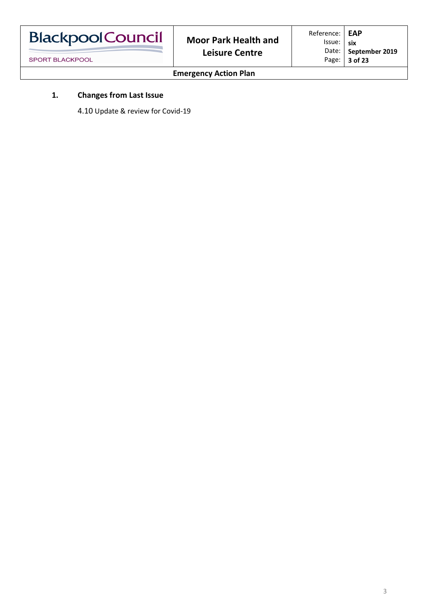| <b>BlackpoolCouncil</b> | <b>Moor Park Health and</b> | Reference:   EAP<br>Issue: six |                        |
|-------------------------|-----------------------------|--------------------------------|------------------------|
|                         | <b>Leisure Centre</b>       |                                | Date:   September 2019 |
| <b>SPORT BLACKPOOL</b>  |                             |                                | Page: $\vert$ 3 of 23  |

# **1. Changes from Last Issue**

4.10 Update & review for Covid-19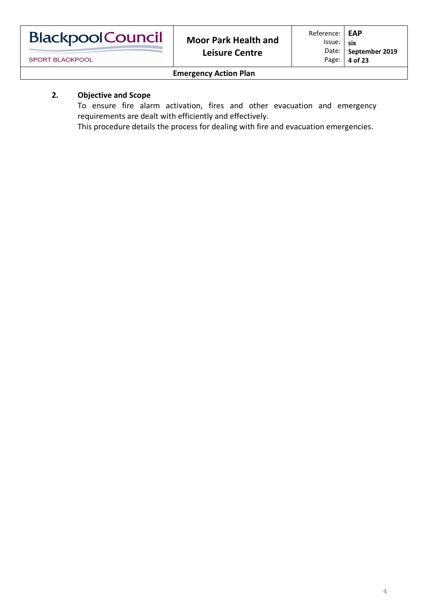| <b>Blackpool Council</b> |  |
|--------------------------|--|
|                          |  |

# **2. Objective and Scope**

To ensure fire alarm activation, fires and other evacuation and emergency requirements are dealt with efficiently and effectively.

This procedure details the process for dealing with fire and evacuation emergencies.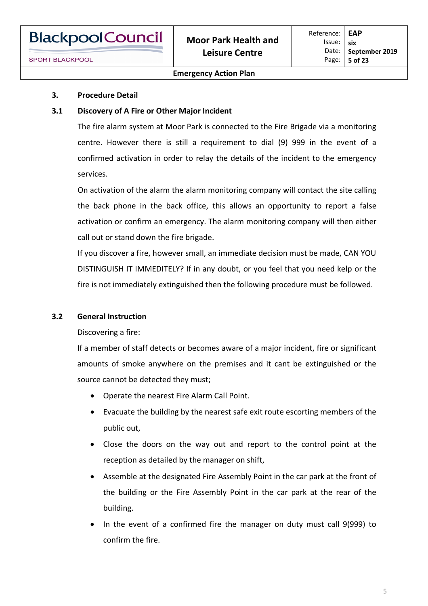#### **3. Procedure Detail**

#### **3.1 Discovery of A Fire or Other Major Incident**

The fire alarm system at Moor Park is connected to the Fire Brigade via a monitoring centre. However there is still a requirement to dial (9) 999 in the event of a confirmed activation in order to relay the details of the incident to the emergency services.

On activation of the alarm the alarm monitoring company will contact the site calling the back phone in the back office, this allows an opportunity to report a false activation or confirm an emergency. The alarm monitoring company will then either call out or stand down the fire brigade.

If you discover a fire, however small, an immediate decision must be made, CAN YOU DISTINGUISH IT IMMEDITELY? If in any doubt, or you feel that you need kelp or the fire is not immediately extinguished then the following procedure must be followed.

#### **3.2 General Instruction**

Discovering a fire:

If a member of staff detects or becomes aware of a major incident, fire or significant amounts of smoke anywhere on the premises and it cant be extinguished or the source cannot be detected they must;

- Operate the nearest Fire Alarm Call Point.
- Evacuate the building by the nearest safe exit route escorting members of the public out,
- Close the doors on the way out and report to the control point at the reception as detailed by the manager on shift,
- Assemble at the designated Fire Assembly Point in the car park at the front of the building or the Fire Assembly Point in the car park at the rear of the building.
- In the event of a confirmed fire the manager on duty must call 9(999) to confirm the fire.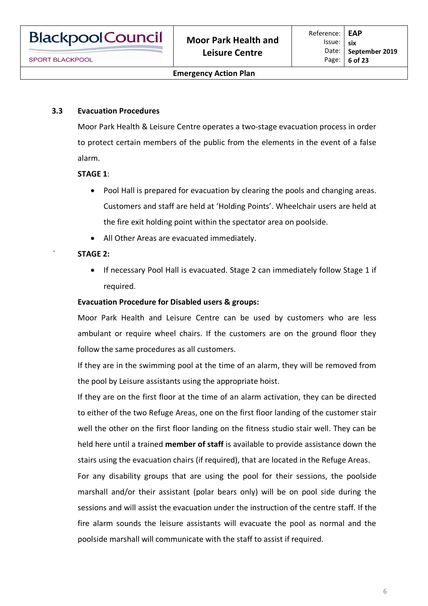#### **3.3 Evacuation Procedures**

Moor Park Health & Leisure Centre operates a two-stage evacuation process in order to protect certain members of the public from the elements in the event of a false alarm.

#### **STAGE 1**:

- Pool Hall is prepared for evacuation by clearing the pools and changing areas. Customers and staff are held at 'Holding Points'. Wheelchair users are held at the fire exit holding point within the spectator area on poolside.
- All Other Areas are evacuated immediately.

#### ` **STAGE 2:**

• If necessary Pool Hall is evacuated. Stage 2 can immediately follow Stage 1 if required.

#### **Evacuation Procedure for Disabled users & groups:**

Moor Park Health and Leisure Centre can be used by customers who are less ambulant or require wheel chairs. If the customers are on the ground floor they follow the same procedures as all customers.

If they are in the swimming pool at the time of an alarm, they will be removed from the pool by Leisure assistants using the appropriate hoist.

If they are on the first floor at the time of an alarm activation, they can be directed to either of the two Refuge Areas, one on the first floor landing of the customer stair well the other on the first floor landing on the fitness studio stair well. They can be held here until a trained **member of staff** is available to provide assistance down the stairs using the evacuation chairs (if required), that are located in the Refuge Areas.

For any disability groups that are using the pool for their sessions, the poolside marshall and/or their assistant (polar bears only) will be on pool side during the sessions and will assist the evacuation under the instruction of the centre staff. If the fire alarm sounds the leisure assistants will evacuate the pool as normal and the poolside marshall will communicate with the staff to assist if required.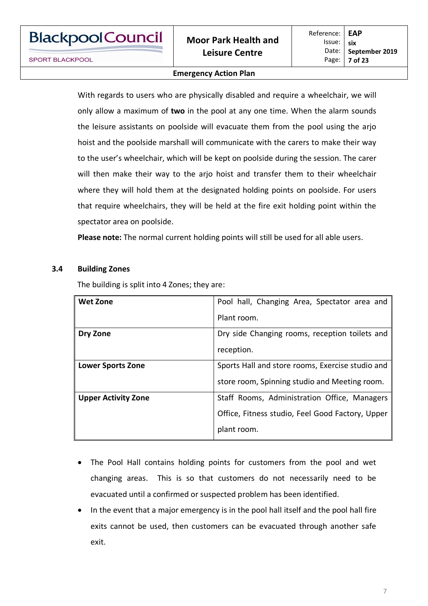#### **Emergency Action Plan**

With regards to users who are physically disabled and require a wheelchair, we will only allow a maximum of **two** in the pool at any one time. When the alarm sounds the leisure assistants on poolside will evacuate them from the pool using the arjo hoist and the poolside marshall will communicate with the carers to make their way to the user's wheelchair, which will be kept on poolside during the session. The carer will then make their way to the arjo hoist and transfer them to their wheelchair where they will hold them at the designated holding points on poolside. For users that require wheelchairs, they will be held at the fire exit holding point within the spectator area on poolside.

**Please note:** The normal current holding points will still be used for all able users.

#### **3.4 Building Zones**

The building is split into 4 Zones; they are:

| <b>Wet Zone</b>            | Pool hall, Changing Area, Spectator area and     |  |
|----------------------------|--------------------------------------------------|--|
|                            | Plant room.                                      |  |
| Dry Zone                   | Dry side Changing rooms, reception toilets and   |  |
|                            | reception.                                       |  |
| <b>Lower Sports Zone</b>   | Sports Hall and store rooms, Exercise studio and |  |
|                            | store room, Spinning studio and Meeting room.    |  |
| <b>Upper Activity Zone</b> | Staff Rooms, Administration Office, Managers     |  |
|                            | Office, Fitness studio, Feel Good Factory, Upper |  |
|                            | plant room.                                      |  |

- The Pool Hall contains holding points for customers from the pool and wet changing areas. This is so that customers do not necessarily need to be evacuated until a confirmed or suspected problem has been identified.
- In the event that a major emergency is in the pool hall itself and the pool hall fire exits cannot be used, then customers can be evacuated through another safe exit.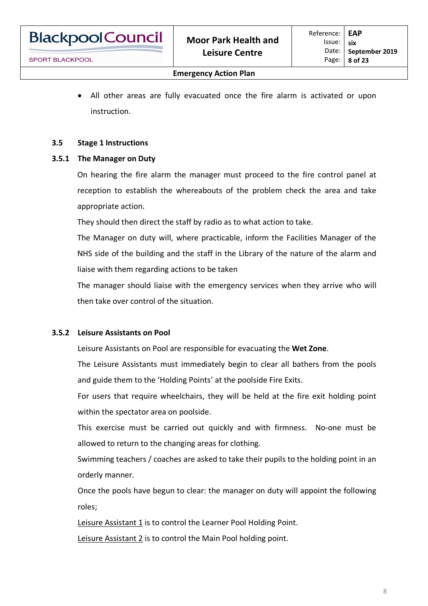**BlackpoolCouncil** 

• All other areas are fully evacuated once the fire alarm is activated or upon instruction.

# **3.5 Stage 1 Instructions**

## **3.5.1 The Manager on Duty**

On hearing the fire alarm the manager must proceed to the fire control panel at reception to establish the whereabouts of the problem check the area and take appropriate action.

They should then direct the staff by radio as to what action to take.

The Manager on duty will, where practicable, inform the Facilities Manager of the NHS side of the building and the staff in the Library of the nature of the alarm and liaise with them regarding actions to be taken

The manager should liaise with the emergency services when they arrive who will then take over control of the situation.

# **3.5.2 Leisure Assistants on Pool**

Leisure Assistants on Pool are responsible for evacuating the **Wet Zone**.

The Leisure Assistants must immediately begin to clear all bathers from the pools and guide them to the 'Holding Points' at the poolside Fire Exits.

For users that require wheelchairs, they will be held at the fire exit holding point within the spectator area on poolside.

This exercise must be carried out quickly and with firmness. No-one must be allowed to return to the changing areas for clothing.

Swimming teachers / coaches are asked to take their pupils to the holding point in an orderly manner.

Once the pools have begun to clear: the manager on duty will appoint the following roles;

Leisure Assistant 1 is to control the Learner Pool Holding Point.

Leisure Assistant 2 is to control the Main Pool holding point.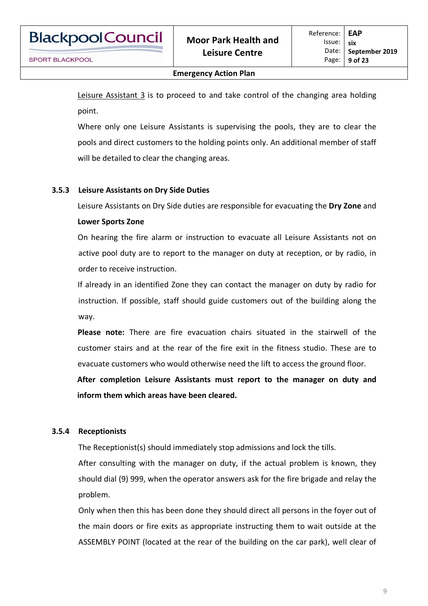Leisure Assistant 3 is to proceed to and take control of the changing area holding point.

Where only one Leisure Assistants is supervising the pools, they are to clear the pools and direct customers to the holding points only. An additional member of staff will be detailed to clear the changing areas.

# **3.5.3 Leisure Assistants on Dry Side Duties**

Leisure Assistants on Dry Side duties are responsible for evacuating the **Dry Zone** and

#### **Lower Sports Zone**

On hearing the fire alarm or instruction to evacuate all Leisure Assistants not on active pool duty are to report to the manager on duty at reception, or by radio, in order to receive instruction.

If already in an identified Zone they can contact the manager on duty by radio for instruction. If possible, staff should guide customers out of the building along the way.

**Please note:** There are fire evacuation chairs situated in the stairwell of the customer stairs and at the rear of the fire exit in the fitness studio. These are to evacuate customers who would otherwise need the lift to access the ground floor.

**After completion Leisure Assistants must report to the manager on duty and inform them which areas have been cleared.**

# **3.5.4 Receptionists**

The Receptionist(s) should immediately stop admissions and lock the tills.

After consulting with the manager on duty, if the actual problem is known, they should dial (9) 999, when the operator answers ask for the fire brigade and relay the problem.

Only when then this has been done they should direct all persons in the foyer out of the main doors or fire exits as appropriate instructing them to wait outside at the ASSEMBLY POINT (located at the rear of the building on the car park), well clear of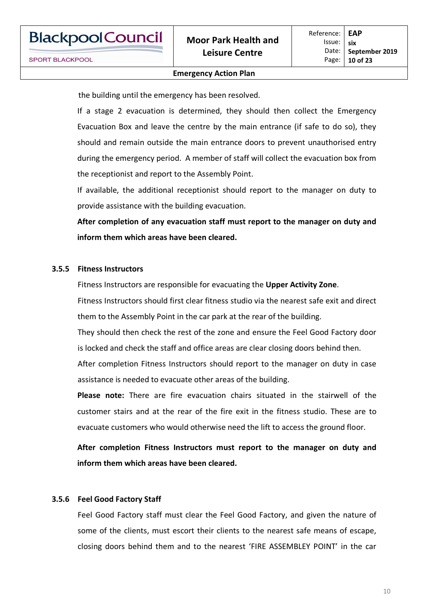the building until the emergency has been resolved.

If a stage 2 evacuation is determined, they should then collect the Emergency Evacuation Box and leave the centre by the main entrance (if safe to do so), they should and remain outside the main entrance doors to prevent unauthorised entry during the emergency period. A member of staff will collect the evacuation box from the receptionist and report to the Assembly Point.

If available, the additional receptionist should report to the manager on duty to provide assistance with the building evacuation.

**After completion of any evacuation staff must report to the manager on duty and inform them which areas have been cleared.**

#### **3.5.5 Fitness Instructors**

Fitness Instructors are responsible for evacuating the **Upper Activity Zone**.

Fitness Instructors should first clear fitness studio via the nearest safe exit and direct them to the Assembly Point in the car park at the rear of the building.

They should then check the rest of the zone and ensure the Feel Good Factory door is locked and check the staff and office areas are clear closing doors behind then.

After completion Fitness Instructors should report to the manager on duty in case assistance is needed to evacuate other areas of the building.

**Please note:** There are fire evacuation chairs situated in the stairwell of the customer stairs and at the rear of the fire exit in the fitness studio. These are to evacuate customers who would otherwise need the lift to access the ground floor.

**After completion Fitness Instructors must report to the manager on duty and inform them which areas have been cleared.**

# **3.5.6 Feel Good Factory Staff**

Feel Good Factory staff must clear the Feel Good Factory, and given the nature of some of the clients, must escort their clients to the nearest safe means of escape, closing doors behind them and to the nearest 'FIRE ASSEMBLEY POINT' in the car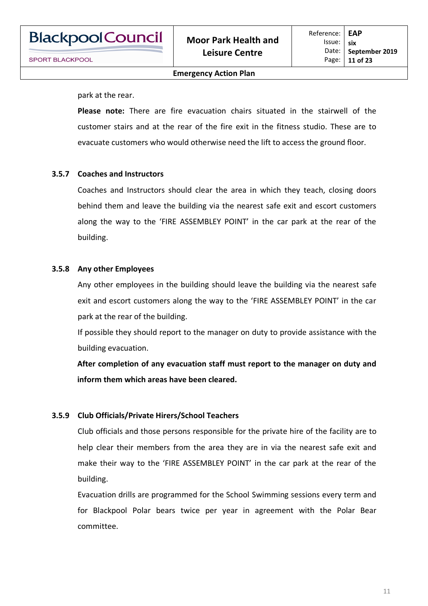park at the rear.

**Please note:** There are fire evacuation chairs situated in the stairwell of the customer stairs and at the rear of the fire exit in the fitness studio. These are to evacuate customers who would otherwise need the lift to access the ground floor.

#### **3.5.7 Coaches and Instructors**

Coaches and Instructors should clear the area in which they teach, closing doors behind them and leave the building via the nearest safe exit and escort customers along the way to the 'FIRE ASSEMBLEY POINT' in the car park at the rear of the building.

#### **3.5.8 Any other Employees**

Any other employees in the building should leave the building via the nearest safe exit and escort customers along the way to the 'FIRE ASSEMBLEY POINT' in the car park at the rear of the building.

If possible they should report to the manager on duty to provide assistance with the building evacuation.

**After completion of any evacuation staff must report to the manager on duty and inform them which areas have been cleared.**

#### **3.5.9 Club Officials/Private Hirers/School Teachers**

Club officials and those persons responsible for the private hire of the facility are to help clear their members from the area they are in via the nearest safe exit and make their way to the 'FIRE ASSEMBLEY POINT' in the car park at the rear of the building.

Evacuation drills are programmed for the School Swimming sessions every term and for Blackpool Polar bears twice per year in agreement with the Polar Bear committee.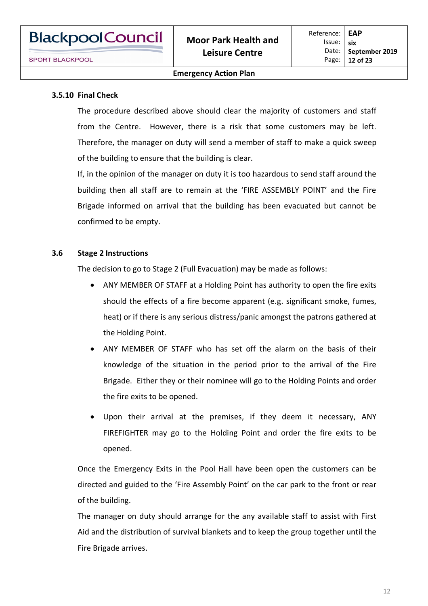## **3.5.10 Final Check**

The procedure described above should clear the majority of customers and staff from the Centre. However, there is a risk that some customers may be left. Therefore, the manager on duty will send a member of staff to make a quick sweep of the building to ensure that the building is clear.

If, in the opinion of the manager on duty it is too hazardous to send staff around the building then all staff are to remain at the 'FIRE ASSEMBLY POINT' and the Fire Brigade informed on arrival that the building has been evacuated but cannot be confirmed to be empty.

# **3.6 Stage 2 Instructions**

The decision to go to Stage 2 (Full Evacuation) may be made as follows:

- ANY MEMBER OF STAFF at a Holding Point has authority to open the fire exits should the effects of a fire become apparent (e.g. significant smoke, fumes, heat) or if there is any serious distress/panic amongst the patrons gathered at the Holding Point.
- ANY MEMBER OF STAFF who has set off the alarm on the basis of their knowledge of the situation in the period prior to the arrival of the Fire Brigade. Either they or their nominee will go to the Holding Points and order the fire exits to be opened.
- Upon their arrival at the premises, if they deem it necessary, ANY FIREFIGHTER may go to the Holding Point and order the fire exits to be opened.

Once the Emergency Exits in the Pool Hall have been open the customers can be directed and guided to the 'Fire Assembly Point' on the car park to the front or rear of the building.

The manager on duty should arrange for the any available staff to assist with First Aid and the distribution of survival blankets and to keep the group together until the Fire Brigade arrives.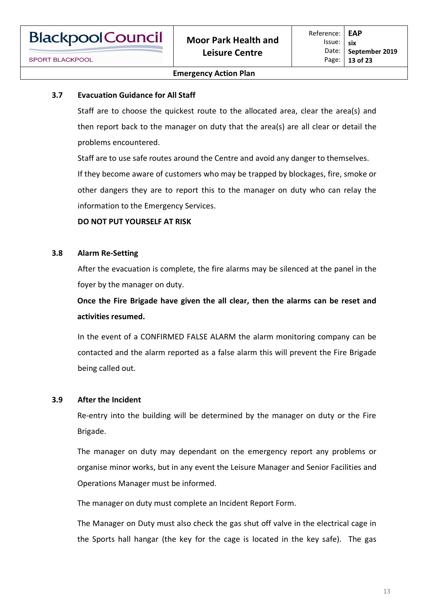# **3.7 Evacuation Guidance for All Staff**

Staff are to choose the quickest route to the allocated area, clear the area(s) and then report back to the manager on duty that the area(s) are all clear or detail the problems encountered.

Staff are to use safe routes around the Centre and avoid any danger to themselves. If they become aware of customers who may be trapped by blockages, fire, smoke or other dangers they are to report this to the manager on duty who can relay the information to the Emergency Services.

#### **DO NOT PUT YOURSELF AT RISK**

#### **3.8 Alarm Re-Setting**

After the evacuation is complete, the fire alarms may be silenced at the panel in the foyer by the manager on duty.

**Once the Fire Brigade have given the all clear, then the alarms can be reset and activities resumed.**

In the event of a CONFIRMED FALSE ALARM the alarm monitoring company can be contacted and the alarm reported as a false alarm this will prevent the Fire Brigade being called out.

#### **3.9 After the Incident**

Re-entry into the building will be determined by the manager on duty or the Fire Brigade.

The manager on duty may dependant on the emergency report any problems or organise minor works, but in any event the Leisure Manager and Senior Facilities and Operations Manager must be informed.

The manager on duty must complete an Incident Report Form.

The Manager on Duty must also check the gas shut off valve in the electrical cage in the Sports hall hangar (the key for the cage is located in the key safe). The gas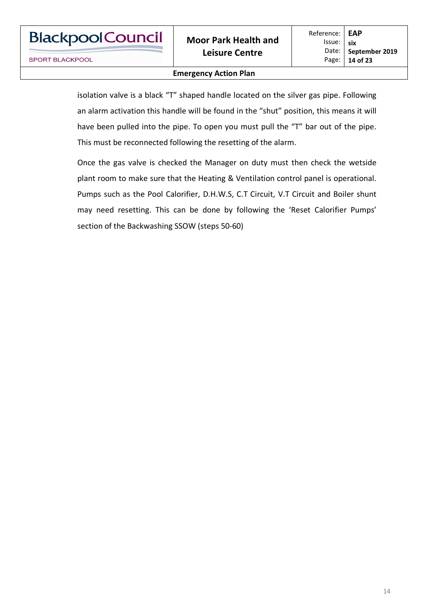#### **Emergency Action Plan**

isolation valve is a black "T" shaped handle located on the silver gas pipe. Following an alarm activation this handle will be found in the "shut" position, this means it will have been pulled into the pipe. To open you must pull the "T" bar out of the pipe. This must be reconnected following the resetting of the alarm.

Once the gas valve is checked the Manager on duty must then check the wetside plant room to make sure that the Heating & Ventilation control panel is operational. Pumps such as the Pool Calorifier, D.H.W.S, C.T Circuit, V.T Circuit and Boiler shunt may need resetting. This can be done by following the 'Reset Calorifier Pumps' section of the Backwashing SSOW (steps 50-60)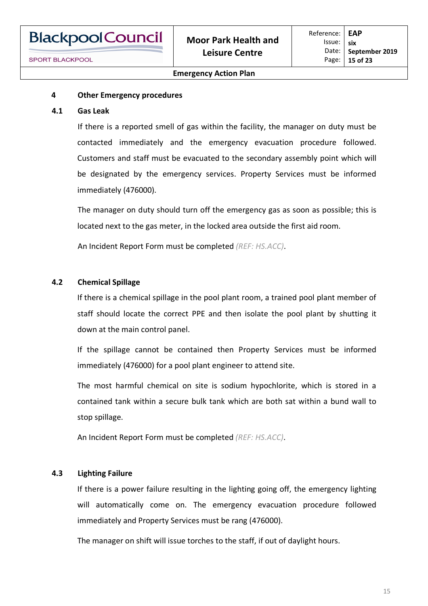

#### **4 Other Emergency procedures**

#### **4.1 Gas Leak**

If there is a reported smell of gas within the facility, the manager on duty must be contacted immediately and the emergency evacuation procedure followed. Customers and staff must be evacuated to the secondary assembly point which will be designated by the emergency services. Property Services must be informed immediately (476000).

The manager on duty should turn off the emergency gas as soon as possible; this is located next to the gas meter, in the locked area outside the first aid room.

An Incident Report Form must be completed *(REF: HS.ACC)*.

#### **4.2 Chemical Spillage**

If there is a chemical spillage in the pool plant room, a trained pool plant member of staff should locate the correct PPE and then isolate the pool plant by shutting it down at the main control panel.

If the spillage cannot be contained then Property Services must be informed immediately (476000) for a pool plant engineer to attend site.

The most harmful chemical on site is sodium hypochlorite, which is stored in a contained tank within a secure bulk tank which are both sat within a bund wall to stop spillage.

An Incident Report Form must be completed *(REF: HS.ACC)*.

#### **4.3 Lighting Failure**

If there is a power failure resulting in the lighting going off, the emergency lighting will automatically come on. The emergency evacuation procedure followed immediately and Property Services must be rang (476000).

The manager on shift will issue torches to the staff, if out of daylight hours.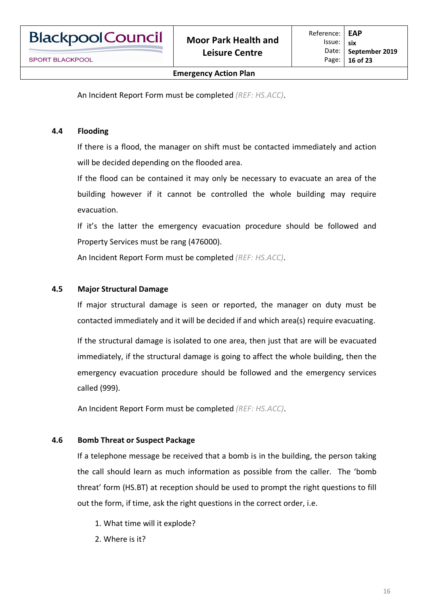**BlackpoolCouncil** 

An Incident Report Form must be completed *(REF: HS.ACC)*.

# **4.4 Flooding**

If there is a flood, the manager on shift must be contacted immediately and action will be decided depending on the flooded area.

If the flood can be contained it may only be necessary to evacuate an area of the building however if it cannot be controlled the whole building may require evacuation.

If it's the latter the emergency evacuation procedure should be followed and Property Services must be rang (476000).

An Incident Report Form must be completed *(REF: HS.ACC)*.

## **4.5 Major Structural Damage**

If major structural damage is seen or reported, the manager on duty must be contacted immediately and it will be decided if and which area(s) require evacuating.

If the structural damage is isolated to one area, then just that are will be evacuated immediately, if the structural damage is going to affect the whole building, then the emergency evacuation procedure should be followed and the emergency services called (999).

An Incident Report Form must be completed *(REF: HS.ACC)*.

# **4.6 Bomb Threat or Suspect Package**

If a telephone message be received that a bomb is in the building, the person taking the call should learn as much information as possible from the caller. The 'bomb threat' form (HS.BT) at reception should be used to prompt the right questions to fill out the form, if time, ask the right questions in the correct order, i.e.

- 1. What time will it explode?
- 2. Where is it?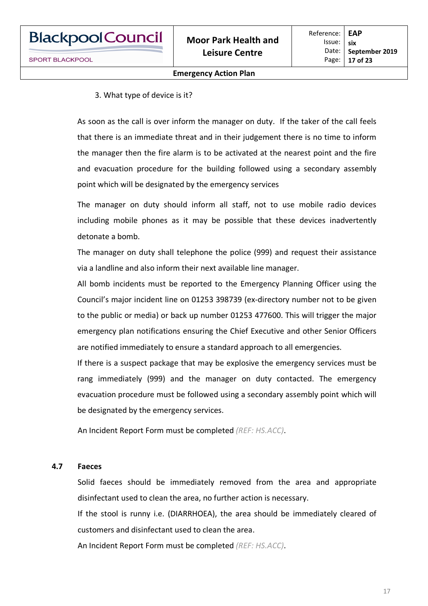#### 3. What type of device is it?

As soon as the call is over inform the manager on duty. If the taker of the call feels that there is an immediate threat and in their judgement there is no time to inform the manager then the fire alarm is to be activated at the nearest point and the fire and evacuation procedure for the building followed using a secondary assembly point which will be designated by the emergency services

The manager on duty should inform all staff, not to use mobile radio devices including mobile phones as it may be possible that these devices inadvertently detonate a bomb.

The manager on duty shall telephone the police (999) and request their assistance via a landline and also inform their next available line manager.

All bomb incidents must be reported to the Emergency Planning Officer using the Council's major incident line on 01253 398739 (ex-directory number not to be given to the public or media) or back up number 01253 477600. This will trigger the major emergency plan notifications ensuring the Chief Executive and other Senior Officers are notified immediately to ensure a standard approach to all emergencies.

If there is a suspect package that may be explosive the emergency services must be rang immediately (999) and the manager on duty contacted. The emergency evacuation procedure must be followed using a secondary assembly point which will be designated by the emergency services.

An Incident Report Form must be completed *(REF: HS.ACC)*.

#### **4.7 Faeces**

Solid faeces should be immediately removed from the area and appropriate disinfectant used to clean the area, no further action is necessary.

If the stool is runny i.e. (DIARRHOEA), the area should be immediately cleared of customers and disinfectant used to clean the area.

An Incident Report Form must be completed *(REF: HS.ACC)*.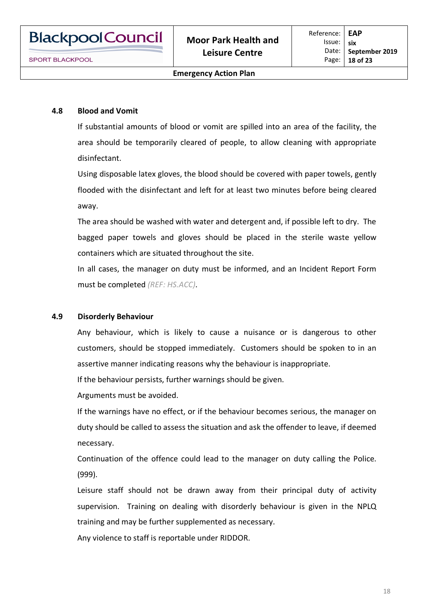#### **4.8 Blood and Vomit**

If substantial amounts of blood or vomit are spilled into an area of the facility, the area should be temporarily cleared of people, to allow cleaning with appropriate disinfectant.

Using disposable latex gloves, the blood should be covered with paper towels, gently flooded with the disinfectant and left for at least two minutes before being cleared away.

The area should be washed with water and detergent and, if possible left to dry. The bagged paper towels and gloves should be placed in the sterile waste yellow containers which are situated throughout the site.

In all cases, the manager on duty must be informed, and an Incident Report Form must be completed *(REF: HS.ACC)*.

#### **4.9 Disorderly Behaviour**

Any behaviour, which is likely to cause a nuisance or is dangerous to other customers, should be stopped immediately. Customers should be spoken to in an assertive manner indicating reasons why the behaviour is inappropriate.

If the behaviour persists, further warnings should be given.

Arguments must be avoided.

If the warnings have no effect, or if the behaviour becomes serious, the manager on duty should be called to assess the situation and ask the offender to leave, if deemed necessary.

Continuation of the offence could lead to the manager on duty calling the Police. (999).

Leisure staff should not be drawn away from their principal duty of activity supervision. Training on dealing with disorderly behaviour is given in the NPLQ training and may be further supplemented as necessary.

Any violence to staff is reportable under RIDDOR.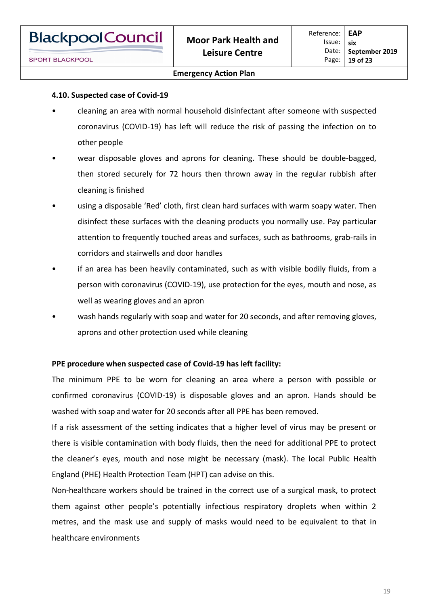#### **Emergency Action Plan**

#### **4.10. Suspected case of Covid-19**

- cleaning an area with normal household disinfectant after someone with suspected coronavirus (COVID-19) has left will reduce the risk of passing the infection on to other people
- wear disposable gloves and aprons for cleaning. These should be double-bagged, then stored securely for 72 hours then thrown away in the regular rubbish after cleaning is finished
- using a disposable 'Red' cloth, first clean hard surfaces with warm soapy water. Then disinfect these surfaces with the cleaning products you normally use. Pay particular attention to frequently touched areas and surfaces, such as bathrooms, grab-rails in corridors and stairwells and door handles
- if an area has been heavily contaminated, such as with visible bodily fluids, from a person with coronavirus (COVID-19), use protection for the eyes, mouth and nose, as well as wearing gloves and an apron
- wash hands regularly with soap and water for 20 seconds, and after removing gloves, aprons and other protection used while cleaning

# **PPE procedure when suspected case of Covid-19 has left facility:**

The minimum PPE to be worn for cleaning an area where a person with possible or confirmed coronavirus (COVID-19) is disposable gloves and an apron. Hands should be washed with soap and water for 20 seconds after all PPE has been removed.

If a risk assessment of the setting indicates that a higher level of virus may be present or there is visible contamination with body fluids, then the need for additional PPE to protect the cleaner's eyes, mouth and nose might be necessary (mask). The local Public Health England (PHE) Health Protection Team (HPT) can advise on this.

Non-healthcare workers should be trained in the correct use of a surgical mask, to protect them against other people's potentially infectious respiratory droplets when within 2 metres, and the mask use and supply of masks would need to be equivalent to that in healthcare environments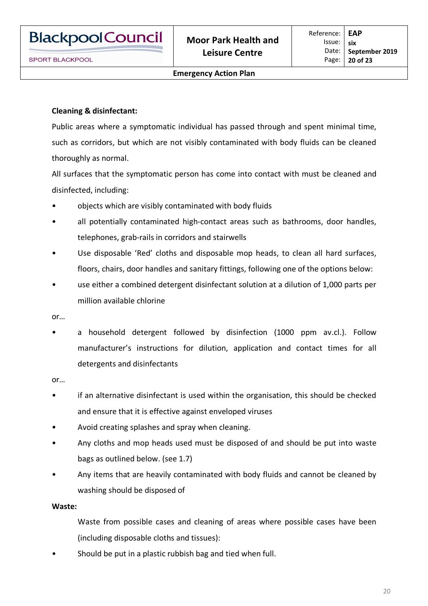# **Cleaning & disinfectant:**

Public areas where a symptomatic individual has passed through and spent minimal time, such as corridors, but which are not visibly contaminated with body fluids can be cleaned thoroughly as normal.

All surfaces that the symptomatic person has come into contact with must be cleaned and disinfected, including:

- objects which are visibly contaminated with body fluids
- all potentially contaminated high-contact areas such as bathrooms, door handles, telephones, grab-rails in corridors and stairwells
- Use disposable 'Red' cloths and disposable mop heads, to clean all hard surfaces, floors, chairs, door handles and sanitary fittings, following one of the options below:
- use either a combined detergent disinfectant solution at a dilution of 1,000 parts per million available chlorine

or…

a household detergent followed by disinfection (1000 ppm av.cl.). Follow manufacturer's instructions for dilution, application and contact times for all detergents and disinfectants

or…

- if an alternative disinfectant is used within the organisation, this should be checked and ensure that it is effective against enveloped viruses
- Avoid creating splashes and spray when cleaning.
- Any cloths and mop heads used must be disposed of and should be put into waste bags as outlined below. (see 1.7)
- Any items that are heavily contaminated with body fluids and cannot be cleaned by washing should be disposed of

#### **Waste:**

- Waste from possible cases and cleaning of areas where possible cases have been (including disposable cloths and tissues):
- Should be put in a plastic rubbish bag and tied when full.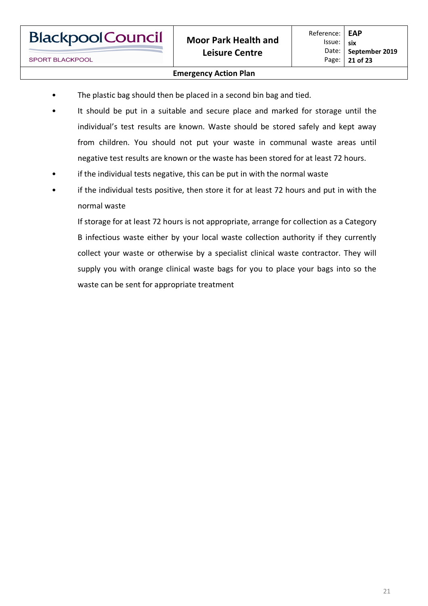#### **Emergency Action Plan**

- The plastic bag should then be placed in a second bin bag and tied.
- It should be put in a suitable and secure place and marked for storage until the individual's test results are known. Waste should be stored safely and kept away from children. You should not put your waste in communal waste areas until negative test results are known or the waste has been stored for at least 72 hours.
- if the individual tests negative, this can be put in with the normal waste
- if the individual tests positive, then store it for at least 72 hours and put in with the normal waste

If storage for at least 72 hours is not appropriate, arrange for collection as a Category B infectious waste either by your local waste collection authority if they currently collect your waste or otherwise by a specialist clinical waste contractor. They will supply you with orange clinical waste bags for you to place your bags into so the waste can be sent for appropriate treatment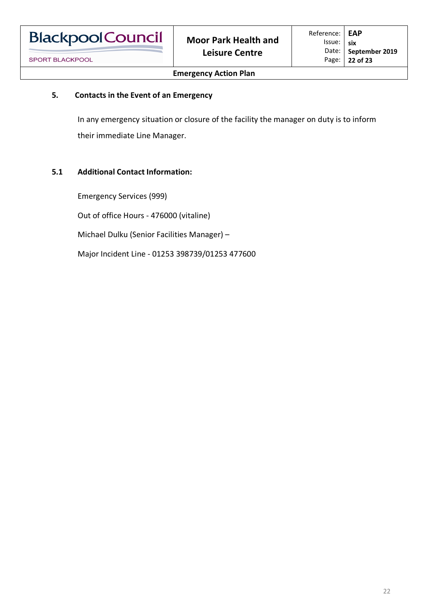# **5. Contacts in the Event of an Emergency**

In any emergency situation or closure of the facility the manager on duty is to inform their immediate Line Manager.

## **5.1 Additional Contact Information:**

Emergency Services (999) Out of office Hours - 476000 (vitaline) Michael Dulku (Senior Facilities Manager) – Major Incident Line - 01253 398739/01253 477600